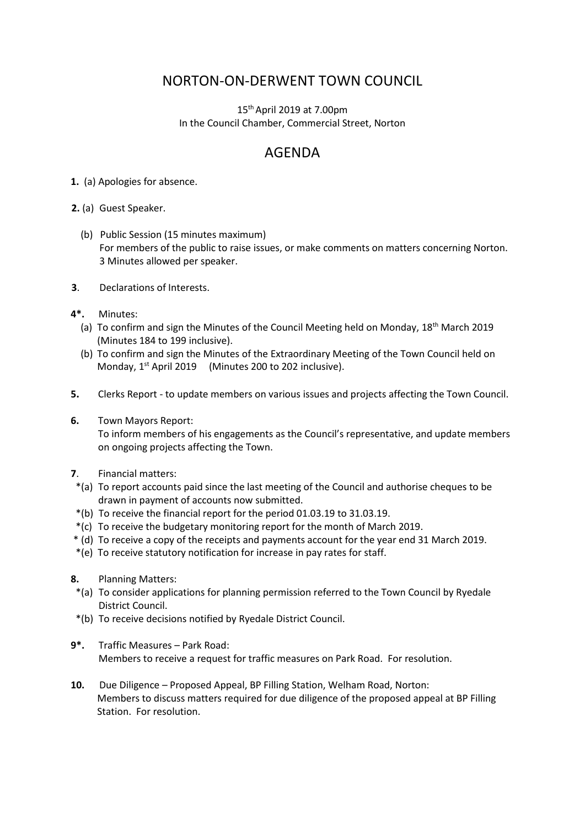## NORTON-ON-DERWENT TOWN COUNCIL

15th April 2019 at 7.00pm In the Council Chamber, Commercial Street, Norton

## AGENDA

**1.** (a) Apologies for absence.

**2.** (a) Guest Speaker.

- (b) Public Session (15 minutes maximum) For members of the public to raise issues, or make comments on matters concerning Norton. 3 Minutes allowed per speaker.
- **3**. Declarations of Interests.
- **4\*.** Minutes:
	- (a) To confirm and sign the Minutes of the Council Meeting held on Monday, 18<sup>th</sup> March 2019 (Minutes 184 to 199 inclusive).
	- (b) To confirm and sign the Minutes of the Extraordinary Meeting of the Town Council held on Monday, 1<sup>st</sup> April 2019 (Minutes 200 to 202 inclusive).
- **5.** Clerks Report to update members on various issues and projects affecting the Town Council.
- **6.** Town Mayors Report: To inform members of his engagements as the Council's representative, and update members on ongoing projects affecting the Town.
- **7**. Financial matters:
- \*(a) To report accounts paid since the last meeting of the Council and authorise cheques to be drawn in payment of accounts now submitted.
- \*(b) To receive the financial report for the period 01.03.19 to 31.03.19.
- \*(c) To receive the budgetary monitoring report for the month of March 2019.
- \* (d) To receive a copy of the receipts and payments account for the year end 31 March 2019.
- \*(e) To receive statutory notification for increase in pay rates for staff.
- **8.** Planning Matters:
- \*(a) To consider applications for planning permission referred to the Town Council by Ryedale District Council.
- \*(b) To receive decisions notified by Ryedale District Council.
- **9\*.** Traffic Measures Park Road: Members to receive a request for traffic measures on Park Road. For resolution.
- **10.** Due Diligence Proposed Appeal, BP Filling Station, Welham Road, Norton: Members to discuss matters required for due diligence of the proposed appeal at BP Filling Station. For resolution.